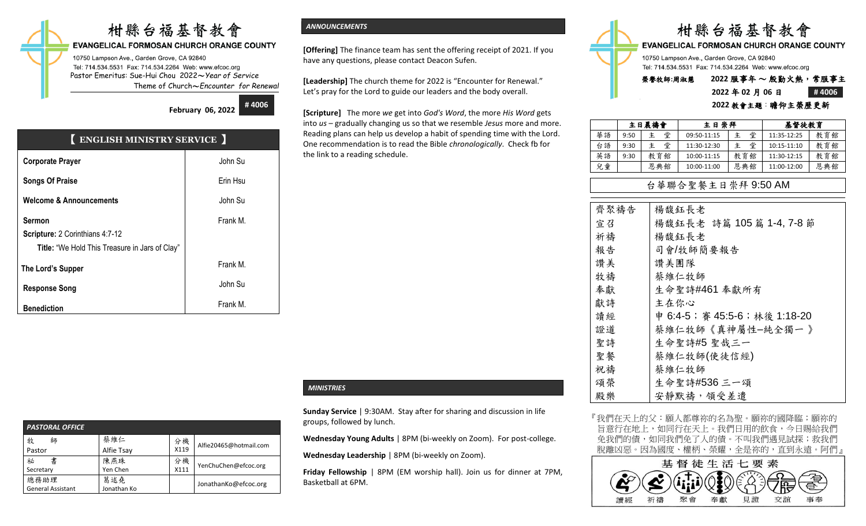# 柑縣台福基督教會

#### **EVANGELICAL FORMOSAN CHURCH ORANGE COUNTY**

10750 Lampson Ave., Garden Grove, CA 92840 Tel: 714.534.5531 Fax: 714.534.2264 Web: www.efcoc.org Pastor Emeritus: Sue-Hui Chou 2022〜*Year of Service* Theme of Church〜*Encounter for Renewal*

> **February 06, 2022 # 4006**

## 【 **ENGLISH MINISTRY SERVICE** 】

| <b>Corporate Prayer</b>                        | John Su  |
|------------------------------------------------|----------|
| <b>Songs Of Praise</b>                         | Erin Hsu |
| <b>Welcome &amp; Announcements</b>             | John Su  |
| <b>Sermon</b>                                  | Frank M. |
| Scripture: 2 Corinthians 4:7-12                |          |
| Title: "We Hold This Treasure in Jars of Clay" |          |
| The Lord's Supper                              | Frank M. |
| <b>Response Song</b>                           | John Su  |
| <b>Benediction</b>                             | Frank M. |

| <b>PASTORAL OFFICE</b>   |             |      |                        |
|--------------------------|-------------|------|------------------------|
| 牧<br>師                   | 蔡維仁         | 分機   | Alfie20465@hotmail.com |
| Pastor                   | Alfie Tsay  | X119 |                        |
| 書<br>祕                   | 陳燕珠         | 分機   | YenChuChen@efcoc.org   |
| Secretary                | Yen Chen    | X111 |                        |
| 總務助理                     | 葛述堯         |      | JonathanKo@efcoc.org   |
| <b>General Assistant</b> | Jonathan Ko |      |                        |

#### *ANNOUNCEMENTS*

**[Offering]** The finance team has sent the offering receipt of 2021. If you have any questions, please contact Deacon Sufen.

**[Leadership]** The church theme for 2022 is "Encounter for Renewal." Let's pray for the Lord to guide our leaders and the body overall.

**[Scripture]** The more *we* get into *God's Word*, the more *His Word* gets into *us* – gradually changing us so that we resemble *Jesus* more and more. Reading plans can help us develop a habit of spending time with the Lord. One recommendation is to read the Bible *chronologically*. Check fb for the link to a reading schedule.

#### *MINISTRIES*

**Sunday Service** | 9:30AM. Stay after for sharing and discussion in life groups, followed by lunch.

**Wednesday Young Adults** | 8PM (bi-weekly on Zoom). For post-college.

**Wednesday Leadership** | 8PM (bi-weekly on Zoom).

**Friday Fellowship** | 8PM (EM worship hall). Join us for dinner at 7PM, Basketball at 6PM.

|                                                                                                      | 柑縣台福基督教會           |  |       |
|------------------------------------------------------------------------------------------------------|--------------------|--|-------|
| <b>EVANGELICAL FORMOSAN CHURCH ORANGE COUNTY</b>                                                     |                    |  |       |
| 10750 Lampson Ave., Garden Grove, CA 92840<br>Tel: 714.534.5531 Fax: 714.534.2264 Web: www.efcoc.org |                    |  |       |
| 榮譽牧師:周淑慧                                                                                             | 2022 服事年~殷勤火熱,常服事主 |  |       |
|                                                                                                      | 2022年02月06日        |  | #4006 |

#### **2022 教會主題:瞻仰主榮歷更:**

|    | 主日晨禱會 |        | 主日崇拜        | 基督徒教育 |             |     |
|----|-------|--------|-------------|-------|-------------|-----|
| 華語 | 9:50  | 堂<br>主 | 09:50-11:15 | 堂     | 11:35-12:25 | 教育館 |
| 台語 | 9:30  | 堂<br>主 | 11:30-12:30 | 堂     | 10:15-11:10 | 教育館 |
| 英語 | 9:30  | 教育館    | 10:00-11:15 | 教育館   | 11:30-12:15 | 教育館 |
| 兒童 |       | 恩典館    | 10:00-11:00 | 恩典館   | 11:00-12:00 | 恩典館 |

#### 台華聯合聖餐主日崇拜 9:50 AM

| 齊聚禱告 | 楊馥鈺長老                         |
|------|-------------------------------|
| 宣召   | 楊馥鈺長老 詩篇 105篇 1-4, 7-8節       |
| 祈禱   | 楊馥鈺長老                         |
| 報告   | 司會/牧師簡要報告                     |
| 讚美   | 讚美團隊                          |
| 牧禱   | 蔡維仁牧師                         |
| 奉獻   | 生命聖詩#461 奉獻所有                 |
| 獻詩   | 主在你心                          |
| 讀經   | 申 6:4-5; 審 45:5-6; 林後 1:18-20 |
| 證道   | 蔡維仁牧師《真神屬性-純全獨一 》             |
| 聖詩   | 生命聖詩#5 聖哉三一                   |
| 聖餐   | 蔡維仁牧師(使徒信經)                   |
| 祝禱   | 蔡維仁牧師                         |
| 頌榮   | 生命聖詩#536 三一頌                  |
| 殿樂   | 安靜默禱, 領受差遣                    |

『我們在天上的父:願人都尊祢的名為聖。願祢的國降臨;願祢的 旨意行在地上,如同行在天上。我們日用的飲食,今日賜給我們 免我們的債,如同我們免了人的債。不叫我們遇見試探;救我們 脫離凶惡。因為國度、權柄、榮耀,全是祢的,直到永遠。阿們